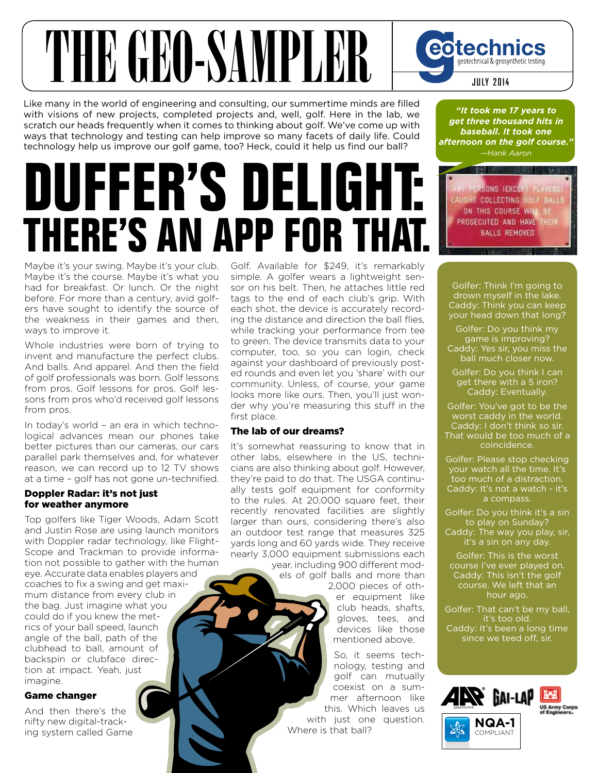

Like many in the world of engineering and consulting, our summertime minds are filled with visions of new projects, completed projects and, well, golf. Here in the lab, we scratch our heads frequently when it comes to thinking about golf. We've come up with ways that technology and testing can help improve so many facets of daily life. Could technology help us improve our golf game, too? Heck, could it help us find our ball?

# **DUFFER'S DELIGHT: THERE'S AN APP FOR THAT.**

Maybe it's your swing. Maybe it's your club. Maybe it's the course. Maybe it's what you had for breakfast. Or lunch. Or the night before. For more than a century, avid golfers have sought to identify the source of the weakness in their games and then, ways to improve it.

Whole industries were born of trying to invent and manufacture the perfect clubs. And balls. And apparel. And then the field of golf professionals was born. Golf lessons from pros. Golf lessons for pros. Golf lessons from pros who'd received golf lessons from pros.

In today's world – an era in which technological advances mean our phones take better pictures than our cameras, our cars parallel park themselves and, for whatever reason, we can record up to 12 TV shows at a time – golf has not gone un-technified.

#### Doppler Radar: it's not just for weather anymore

Top golfers like Tiger Woods, Adam Scott and Justin Rose are using launch monitors with Doppler radar technology, like Flight-Scope and Trackman to provide information not possible to gather with the human eye. Accurate data enables players and coaches to fix a swing and get maximum distance from every club in the bag. Just imagine what you could do if you knew the metrics of your ball speed, launch angle of the ball, path of the clubhead to ball, amount of backspin or clubface direction at impact. Yeah, just imagine.

#### Game changer

And then there's the nifty new digital-tracking system called Game Golf. Available for \$249, it's remarkably simple. A golfer wears a lightweight sensor on his belt. Then, he attaches little red tags to the end of each club's grip. With each shot, the device is accurately recording the distance and direction the ball flies, while tracking your performance from tee to green. The device transmits data to your computer, too, so you can login, check against your dashboard of previously posted rounds and even let you 'share' with our community. Unless, of course, your game looks more like ours. Then, you'll just wonder why you're measuring this stuff in the first place.

#### The lab of our dreams?

It's somewhat reassuring to know that in other labs, elsewhere in the US, technicians are also thinking about golf. However, they're paid to do that. The USGA continually tests golf equipment for conformity to the rules. At 20,000 square feet, their recently renovated facilities are slightly larger than ours, considering there's also an outdoor test range that measures 325 yards long and 60 yards wide. They receive nearly 3,000 equipment submissions each

year, including 900 different models of golf balls and more than 2,000 pieces of other equipment like club heads, shafts, gloves, tees, and devices like those

> mentioned above. So, it seems technology, testing and golf can mutually coexist on a summer afternoon like this. Which leaves us with just one question. Where is that ball?

*"It took me 17 years to get three thousand hits in baseball. It took one afternoon on the golf course." —Hank Aaron* 

数据

PERSONS (EXCEPT PLAYERS) CAUGHT COLLECTING GOLF BALLS ON THIS COURSE WILL BE PROSECUTED AND HAVE THEIR **BALLS REMOVED** 

Golfer: Think I'm going to drown myself in the lake. Caddy: Think you can keep your head down that long?

Golfer: Do you think my game is improving? Caddy: Yes sir, you miss the ball much closer now.

Golfer: Do you think I can get there with a 5 iron? Caddy: Eventually.

Golfer: You've got to be the worst caddy in the world. Caddy: I don't think so sir. That would be too much of a coincidence.

Golfer: Please stop checking your watch all the time. It's too much of a distraction. Caddy: It's not a watch - it's a compass.

Golfer: Do you think it's a sin to play on Sunday?

Caddy: The way you play, sir, it's a sin on any day.

Golfer: This is the worst course I've ever played on. Caddy: This isn't the golf course. We left that an hour ago.

Golfer: That can't be my ball, it's too old. Caddy: It's been a long time since we teed off, sir.